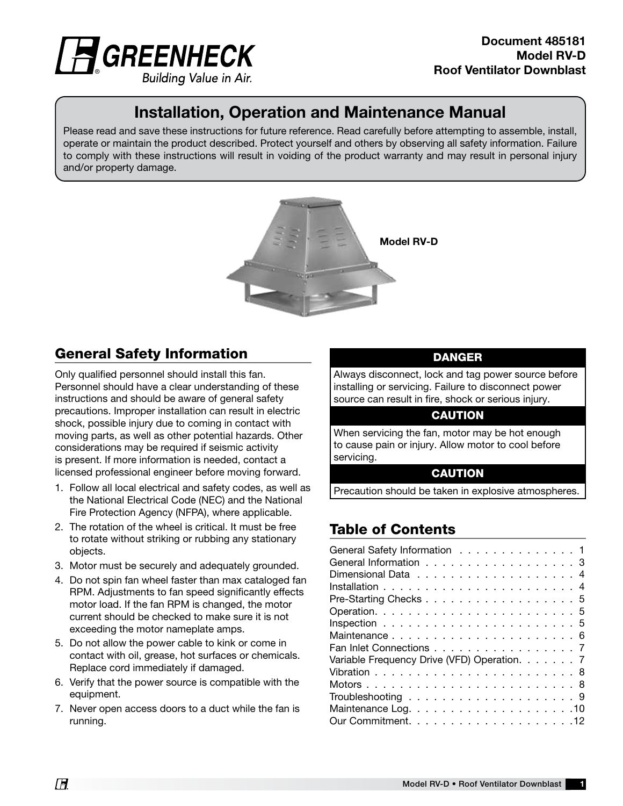

# Installation, Operation and Maintenance Manual

Please read and save these instructions for future reference. Read carefully before attempting to assemble, install, operate or maintain the product described. Protect yourself and others by observing all safety information. Failure to comply with these instructions will result in voiding of the product warranty and may result in personal injury and/or property damage.



## General Safety Information

Only qualified personnel should install this fan. Personnel should have a clear understanding of these instructions and should be aware of general safety precautions. Improper installation can result in electric shock, possible injury due to coming in contact with moving parts, as well as other potential hazards. Other considerations may be required if seismic activity is present. If more information is needed, contact a licensed professional engineer before moving forward.

- 1. Follow all local electrical and safety codes, as well as the National Electrical Code (NEC) and the National Fire Protection Agency (NFPA), where applicable.
- 2. The rotation of the wheel is critical. It must be free to rotate without striking or rubbing any stationary objects.
- 3. Motor must be securely and adequately grounded.
- 4. Do not spin fan wheel faster than max cataloged fan RPM. Adjustments to fan speed significantly effects motor load. If the fan RPM is changed, the motor current should be checked to make sure it is not exceeding the motor nameplate amps.
- 5. Do not allow the power cable to kink or come in contact with oil, grease, hot surfaces or chemicals. Replace cord immediately if damaged.
- 6. Verify that the power source is compatible with the equipment.
- 7. Never open access doors to a duct while the fan is running.

#### DANGER

Always disconnect, lock and tag power source before installing or servicing. Failure to disconnect power source can result in fire, shock or serious injury.

#### **CAUTION**

When servicing the fan, motor may be hot enough to cause pain or injury. Allow motor to cool before servicing.

#### **CAUTION**

Precaution should be taken in explosive atmospheres.

## Table of Contents

| General Safety Information 1                |  |  |
|---------------------------------------------|--|--|
| General Information 3                       |  |  |
|                                             |  |  |
|                                             |  |  |
| Pre-Starting Checks 5                       |  |  |
|                                             |  |  |
|                                             |  |  |
|                                             |  |  |
| Fan Inlet Connections 7                     |  |  |
| Variable Frequency Drive (VFD) Operation. 7 |  |  |
|                                             |  |  |
|                                             |  |  |
|                                             |  |  |
|                                             |  |  |
|                                             |  |  |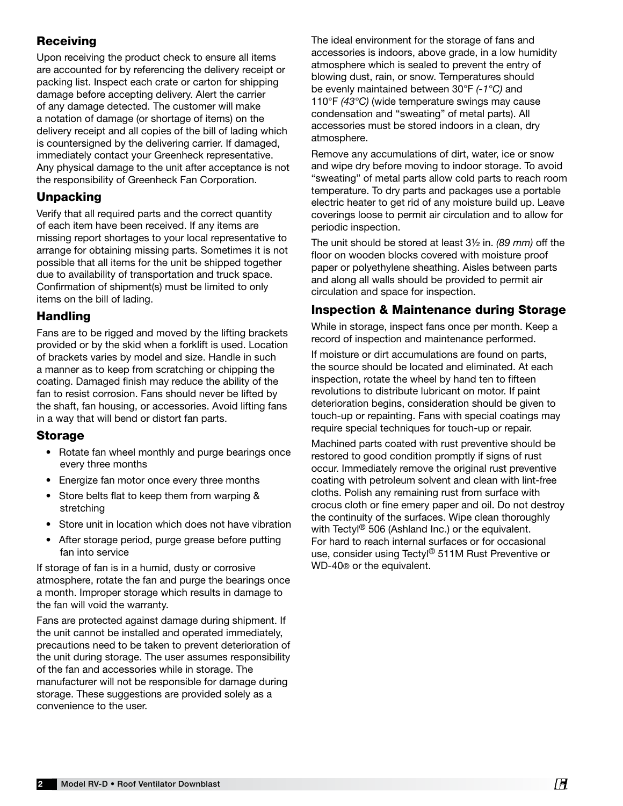### Receiving

Upon receiving the product check to ensure all items are accounted for by referencing the delivery receipt or packing list. Inspect each crate or carton for shipping damage before accepting delivery. Alert the carrier of any damage detected. The customer will make a notation of damage (or shortage of items) on the delivery receipt and all copies of the bill of lading which is countersigned by the delivering carrier. If damaged, immediately contact your Greenheck representative. Any physical damage to the unit after acceptance is not the responsibility of Greenheck Fan Corporation.

### Unpacking

Verify that all required parts and the correct quantity of each item have been received. If any items are missing report shortages to your local representative to arrange for obtaining missing parts. Sometimes it is not possible that all items for the unit be shipped together due to availability of transportation and truck space. Confirmation of shipment(s) must be limited to only items on the bill of lading.

### Handling

Fans are to be rigged and moved by the lifting brackets provided or by the skid when a forklift is used. Location of brackets varies by model and size. Handle in such a manner as to keep from scratching or chipping the coating. Damaged finish may reduce the ability of the fan to resist corrosion. Fans should never be lifted by the shaft, fan housing, or accessories. Avoid lifting fans in a way that will bend or distort fan parts.

#### Storage

- Rotate fan wheel monthly and purge bearings once every three months
- Energize fan motor once every three months
- Store belts flat to keep them from warping & stretching
- Store unit in location which does not have vibration
- After storage period, purge grease before putting fan into service

If storage of fan is in a humid, dusty or corrosive atmosphere, rotate the fan and purge the bearings once a month. Improper storage which results in damage to the fan will void the warranty.

Fans are protected against damage during shipment. If the unit cannot be installed and operated immediately, precautions need to be taken to prevent deterioration of the unit during storage. The user assumes responsibility of the fan and accessories while in storage. The manufacturer will not be responsible for damage during storage. These suggestions are provided solely as a convenience to the user.

The ideal environment for the storage of fans and accessories is indoors, above grade, in a low humidity atmosphere which is sealed to prevent the entry of blowing dust, rain, or snow. Temperatures should be evenly maintained between 30°F *(-1°C)* and 110°F *(43°C)* (wide temperature swings may cause condensation and "sweating" of metal parts). All accessories must be stored indoors in a clean, dry atmosphere.

Remove any accumulations of dirt, water, ice or snow and wipe dry before moving to indoor storage. To avoid "sweating" of metal parts allow cold parts to reach room temperature. To dry parts and packages use a portable electric heater to get rid of any moisture build up. Leave coverings loose to permit air circulation and to allow for periodic inspection.

The unit should be stored at least 3½ in. *(89 mm)* off the floor on wooden blocks covered with moisture proof paper or polyethylene sheathing. Aisles between parts and along all walls should be provided to permit air circulation and space for inspection.

## Inspection & Maintenance during Storage

While in storage, inspect fans once per month. Keep a record of inspection and maintenance performed.

If moisture or dirt accumulations are found on parts, the source should be located and eliminated. At each inspection, rotate the wheel by hand ten to fifteen revolutions to distribute lubricant on motor. If paint deterioration begins, consideration should be given to touch-up or repainting. Fans with special coatings may require special techniques for touch-up or repair.

Machined parts coated with rust preventive should be restored to good condition promptly if signs of rust occur. Immediately remove the original rust preventive coating with petroleum solvent and clean with lint-free cloths. Polish any remaining rust from surface with crocus cloth or fine emery paper and oil. Do not destroy the continuity of the surfaces. Wipe clean thoroughly with Tectyl<sup>®</sup> 506 (Ashland Inc.) or the equivalent. For hard to reach internal surfaces or for occasional use, consider using Tectyl<sup>®</sup> 511M Rust Preventive or WD-40® or the equivalent.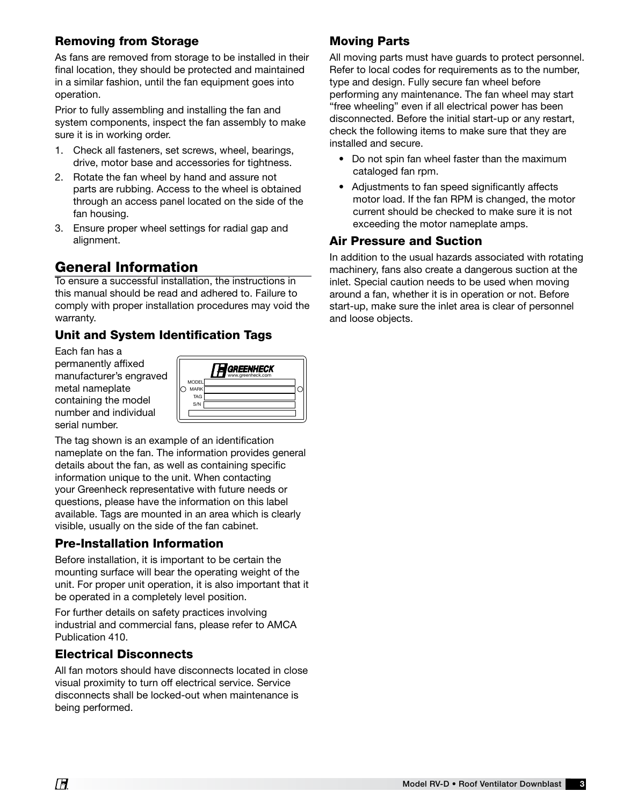### Removing from Storage

As fans are removed from storage to be installed in their final location, they should be protected and maintained in a similar fashion, until the fan equipment goes into operation.

Prior to fully assembling and installing the fan and system components, inspect the fan assembly to make sure it is in working order.

- 1. Check all fasteners, set screws, wheel, bearings, drive, motor base and accessories for tightness.
- 2. Rotate the fan wheel by hand and assure not parts are rubbing. Access to the wheel is obtained through an access panel located on the side of the fan housing.
- 3. Ensure proper wheel settings for radial gap and alignment.

# General Information

To ensure a successful installation, the instructions in this manual should be read and adhered to. Failure to comply with proper installation procedures may void the warranty.

## Unit and System Identification Tags

Each fan has a permanently affixed manufacturer's engraved metal nameplate containing the model number and individual serial number.



The tag shown is an example of an identification nameplate on the fan. The information provides general details about the fan, as well as containing specific information unique to the unit. When contacting your Greenheck representative with future needs or questions, please have the information on this label available. Tags are mounted in an area which is clearly visible, usually on the side of the fan cabinet.

### Pre-Installation Information

Before installation, it is important to be certain the mounting surface will bear the operating weight of the unit. For proper unit operation, it is also important that it be operated in a completely level position.

For further details on safety practices involving industrial and commercial fans, please refer to AMCA Publication 410.

### Electrical Disconnects

All fan motors should have disconnects located in close visual proximity to turn off electrical service. Service disconnects shall be locked-out when maintenance is being performed.

### Moving Parts

All moving parts must have guards to protect personnel. Refer to local codes for requirements as to the number, type and design. Fully secure fan wheel before performing any maintenance. The fan wheel may start "free wheeling" even if all electrical power has been disconnected. Before the initial start-up or any restart, check the following items to make sure that they are installed and secure.

- Do not spin fan wheel faster than the maximum cataloged fan rpm.
- Adjustments to fan speed significantly affects motor load. If the fan RPM is changed, the motor current should be checked to make sure it is not exceeding the motor nameplate amps.

### Air Pressure and Suction

In addition to the usual hazards associated with rotating machinery, fans also create a dangerous suction at the inlet. Special caution needs to be used when moving around a fan, whether it is in operation or not. Before start-up, make sure the inlet area is clear of personnel and loose objects.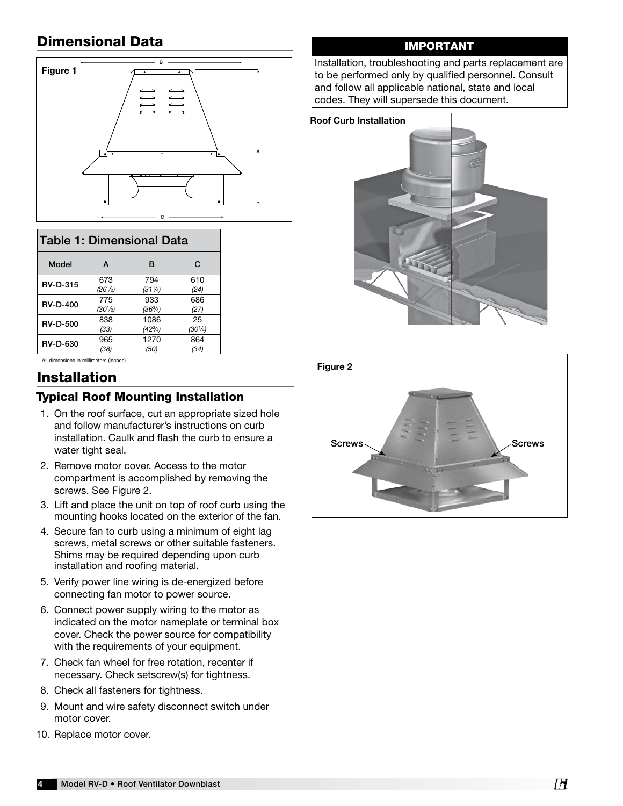# Dimensional Data



| Table 1: Dimensional Data |                   |                   |                   |  |
|---------------------------|-------------------|-------------------|-------------------|--|
| Model                     | A                 | B                 | C                 |  |
| <b>RV-D-315</b>           | 673               | 794               | 610               |  |
|                           | $(26^{1}/_{2})$   | $(31\frac{1}{4})$ | (24)              |  |
| <b>RV-D-400</b>           | 775               | 933               | 686               |  |
|                           | $(30\frac{1}{2})$ | $(36^{3}/_{4})$   | (27)              |  |
| <b>RV-D-500</b>           | 838               | 1086              | 25                |  |
|                           | (33)              | $(42\frac{3}{4})$ | $(30\frac{1}{4})$ |  |
| <b>RV-D-630</b>           | 965               | 1270              | 864               |  |
|                           | (38)              | (50)              | (34)              |  |

All dimensions in millimeters (inches).

# Installation

### Typical Roof Mounting Installation

- 1. On the roof surface, cut an appropriate sized hole and follow manufacturer's instructions on curb installation. Caulk and flash the curb to ensure a water tight seal.
- 2. Remove motor cover. Access to the motor compartment is accomplished by removing the screws. See Figure 2.
- 3. Lift and place the unit on top of roof curb using the mounting hooks located on the exterior of the fan.
- 4. Secure fan to curb using a minimum of eight lag screws, metal screws or other suitable fasteners. Shims may be required depending upon curb installation and roofing material.
- 5. Verify power line wiring is de-energized before connecting fan motor to power source.
- 6. Connect power supply wiring to the motor as indicated on the motor nameplate or terminal box cover. Check the power source for compatibility with the requirements of your equipment.
- 7. Check fan wheel for free rotation, recenter if necessary. Check setscrew(s) for tightness.
- 8. Check all fasteners for tightness.
- 9. Mount and wire safety disconnect switch under motor cover.
- 10. Replace motor cover.

### IMPORTANT

Installation, troubleshooting and parts replacement are to be performed only by qualified personnel. Consult and follow all applicable national, state and local codes. They will supersede this document.

#### Roof Curb Installation



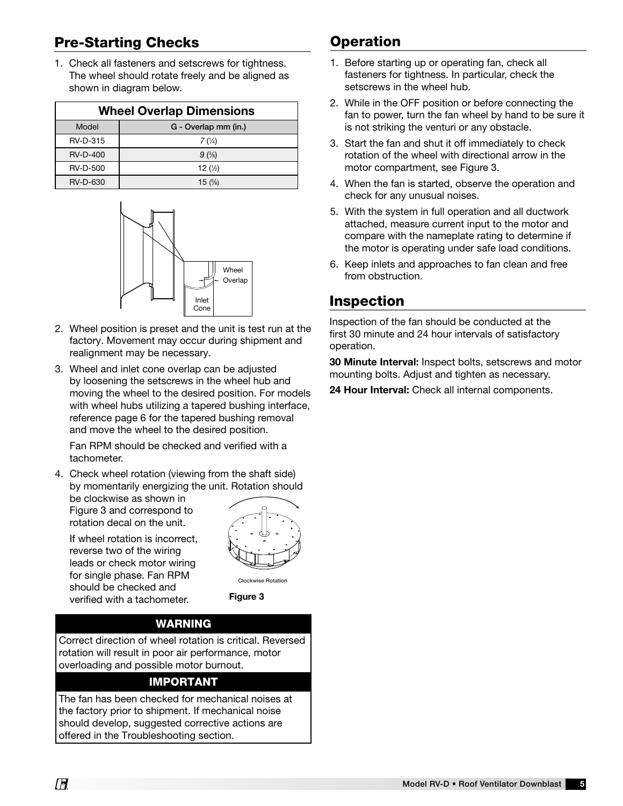# Pre-Starting Checks

1. Check all fasteners and setscrews for tightness. The wheel should rotate freely and be aligned as shown in diagram below.

| <b>Wheel Overlap Dimensions</b> |                      |  |  |
|---------------------------------|----------------------|--|--|
| Model                           | G - Overlap mm (in.) |  |  |
| <b>RV-D-315</b>                 | 7(1/4)               |  |  |
| <b>RV-D-400</b>                 | 9(3/8)               |  |  |
| <b>RV-D-500</b>                 | 12 $(\frac{1}{2})$   |  |  |
| <b>RV-D-630</b>                 | 15 $($ %)            |  |  |



- 2. Wheel position is preset and the unit is test run at the factory. Movement may occur during shipment and realignment may be necessary.
- 3. Wheel and inlet cone overlap can be adjusted by loosening the setscrews in the wheel hub and moving the wheel to the desired position. For models with wheel hubs utilizing a tapered bushing interface, reference page 6 for the tapered bushing removal and move the wheel to the desired position.

Fan RPM should be checked and verified with a tachometer.

4. Check wheel rotation (viewing from the shaft side) by momentarily energizing the unit. Rotation should

be clockwise as shown in Figure 3 and correspond to rotation decal on the unit.

If wheel rotation is incorrect, reverse two of the wiring leads or check motor wiring for single phase. Fan RPM should be checked and verified with a tachometer.



Clockwise Rotation

Figure 3

### **WARNING**

Correct direction of wheel rotation is critical. Reversed rotation will result in poor air performance, motor overloading and possible motor burnout.

#### IMPORTANT

The fan has been checked for mechanical noises at the factory prior to shipment. If mechanical noise should develop, suggested corrective actions are offered in the Troubleshooting section.

# **Operation**

- 1. Before starting up or operating fan, check all fasteners for tightness. In particular, check the setscrews in the wheel hub.
- 2. While in the OFF position or before connecting the fan to power, turn the fan wheel by hand to be sure it is not striking the venturi or any obstacle.
- 3. Start the fan and shut it off immediately to check rotation of the wheel with directional arrow in the motor compartment, see Figure 3.
- 4. When the fan is started, observe the operation and check for any unusual noises.
- 5. With the system in full operation and all ductwork attached, measure current input to the motor and compare with the nameplate rating to determine if the motor is operating under safe load conditions.
- 6. Keep inlets and approaches to fan clean and free from obstruction.

## Inspection

Inspection of the fan should be conducted at the first 30 minute and 24 hour intervals of satisfactory operation.

30 Minute Interval: Inspect bolts, setscrews and motor mounting bolts. Adjust and tighten as necessary.

24 Hour Interval: Check all internal components.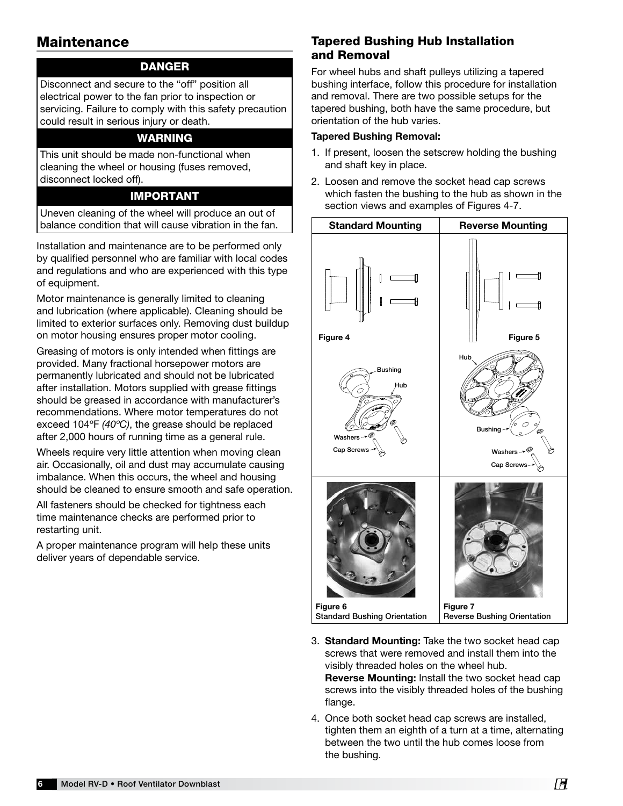### **Maintenance**

#### DANGER

Disconnect and secure to the "off" position all electrical power to the fan prior to inspection or servicing. Failure to comply with this safety precaution could result in serious injury or death.

#### WARNING

This unit should be made non-functional when cleaning the wheel or housing (fuses removed, disconnect locked off).

#### IMPORTANT

Uneven cleaning of the wheel will produce an out of balance condition that will cause vibration in the fan.

Installation and maintenance are to be performed only by qualified personnel who are familiar with local codes and regulations and who are experienced with this type of equipment.

Motor maintenance is generally limited to cleaning and lubrication (where applicable). Cleaning should be limited to exterior surfaces only. Removing dust buildup on motor housing ensures proper motor cooling.

Greasing of motors is only intended when fittings are provided. Many fractional horsepower motors are permanently lubricated and should not be lubricated after installation. Motors supplied with grease fittings should be greased in accordance with manufacturer's recommendations. Where motor temperatures do not exceed 104ºF *(40ºC)*, the grease should be replaced after 2,000 hours of running time as a general rule.

Wheels require very little attention when moving clean air. Occasionally, oil and dust may accumulate causing imbalance. When this occurs, the wheel and housing should be cleaned to ensure smooth and safe operation.

All fasteners should be checked for tightness each time maintenance checks are performed prior to restarting unit.

A proper maintenance program will help these units deliver years of dependable service.

### Tapered Bushing Hub Installation and Removal

For wheel hubs and shaft pulleys utilizing a tapered bushing interface, follow this procedure for installation and removal. There are two possible setups for the tapered bushing, both have the same procedure, but orientation of the hub varies.

#### Tapered Bushing Removal:

- 1. If present, loosen the setscrew holding the bushing and shaft key in place.
- 2. Loosen and remove the socket head cap screws which fasten the bushing to the hub as shown in the section views and examples of Figures 4-7.



- 3. Standard Mounting: Take the two socket head cap screws that were removed and install them into the visibly threaded holes on the wheel hub. Reverse Mounting: Install the two socket head cap screws into the visibly threaded holes of the bushing flange.
- 4. Once both socket head cap screws are installed, tighten them an eighth of a turn at a time, alternating between the two until the hub comes loose from the bushing.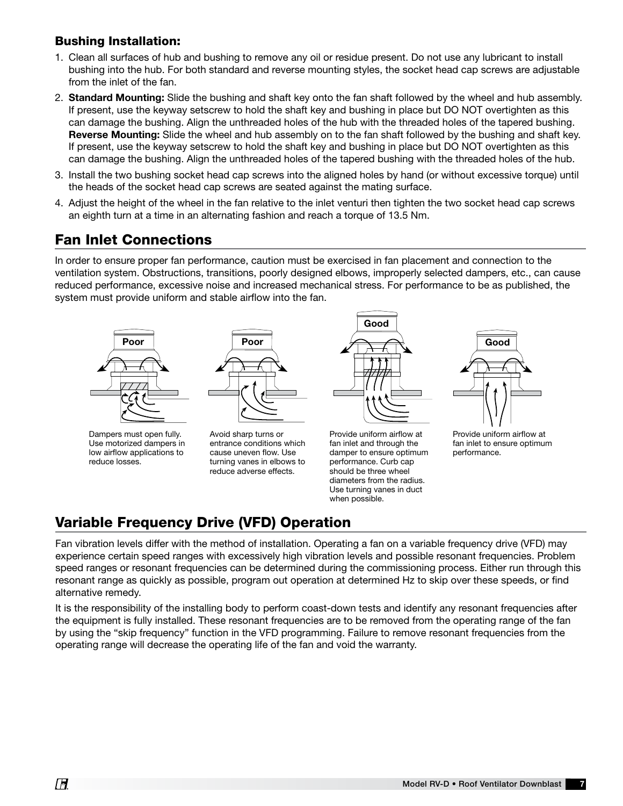#### Bushing Installation:

- 1. Clean all surfaces of hub and bushing to remove any oil or residue present. Do not use any lubricant to install bushing into the hub. For both standard and reverse mounting styles, the socket head cap screws are adjustable from the inlet of the fan.
- 2. Standard Mounting: Slide the bushing and shaft key onto the fan shaft followed by the wheel and hub assembly. If present, use the keyway setscrew to hold the shaft key and bushing in place but DO NOT overtighten as this can damage the bushing. Align the unthreaded holes of the hub with the threaded holes of the tapered bushing. Reverse Mounting: Slide the wheel and hub assembly on to the fan shaft followed by the bushing and shaft key. If present, use the keyway setscrew to hold the shaft key and bushing in place but DO NOT overtighten as this can damage the bushing. Align the unthreaded holes of the tapered bushing with the threaded holes of the hub.
- 3. Install the two bushing socket head cap screws into the aligned holes by hand (or without excessive torque) until the heads of the socket head cap screws are seated against the mating surface.
- 4. Adjust the height of the wheel in the fan relative to the inlet venturi then tighten the two socket head cap screws an eighth turn at a time in an alternating fashion and reach a torque of 13.5 Nm.

## Fan Inlet Connections

In order to ensure proper fan performance, caution must be exercised in fan placement and connection to the ventilation system. Obstructions, transitions, poorly designed elbows, improperly selected dampers, etc., can cause reduced performance, excessive noise and increased mechanical stress. For performance to be as published, the system must provide uniform and stable airflow into the fan.



Dampers must open fully. Use motorized dampers in low airflow applications to reduce losses.



tammig vance in ciscue Avoid sharp turns or entrance conditions which cause uneven flow. Use turning vanes in elbows to



should be three wheel Provide uniform airflow at fan inlet and through the damper to ensure optimum performance. Curb cap diameters from the radius. Use turning vanes in duct when possible.



Provide uniform airflow at fan inlet to ensure optimum performance.

# Variable Frequency Drive (VFD) Operation

Fan vibration levels differ with the method of installation. Operating a fan on a variable frequency drive (VFD) may experience certain speed ranges with excessively high vibration levels and possible resonant frequencies. Problem speed ranges or resonant frequencies can be determined during the commissioning process. Either run through this resonant range as quickly as possible, program out operation at determined Hz to skip over these speeds, or find alternative remedy.

It is the responsibility of the installing body to perform coast-down tests and identify any resonant frequencies after the equipment is fully installed. These resonant frequencies are to be removed from the operating range of the fan by using the "skip frequency" function in the VFD programming. Failure to remove resonant frequencies from the operating range will decrease the operating life of the fan and void the warranty.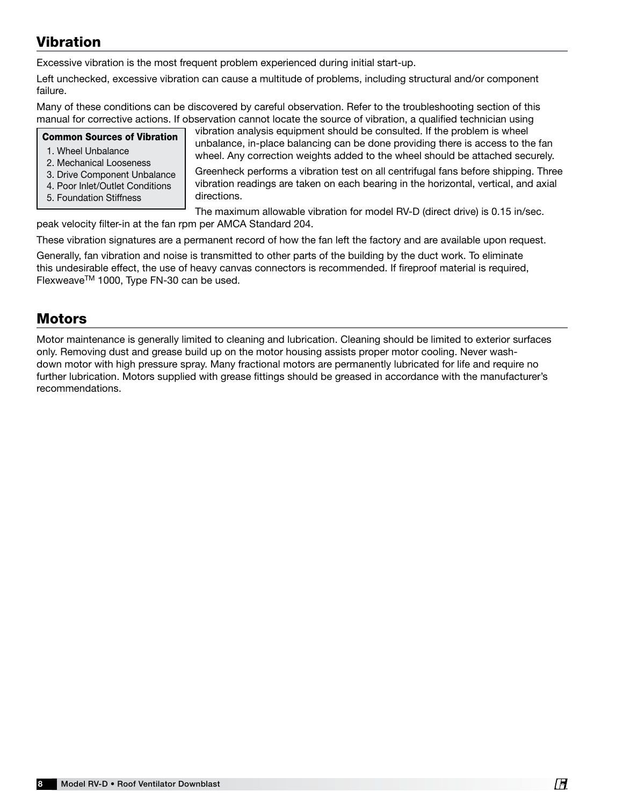# Vibration

Excessive vibration is the most frequent problem experienced during initial start-up.

Left unchecked, excessive vibration can cause a multitude of problems, including structural and/or component failure.

Many of these conditions can be discovered by careful observation. Refer to the troubleshooting section of this manual for corrective actions. If observation cannot locate the source of vibration, a qualified technician using

#### Common Sources of Vibration

- 1. Wheel Unbalance
- 2. Mechanical Looseness
- 3. Drive Component Unbalance 4. Poor Inlet/Outlet Conditions
- 5. Foundation Stiffness

vibration analysis equipment should be consulted. If the problem is wheel unbalance, in-place balancing can be done providing there is access to the fan wheel. Any correction weights added to the wheel should be attached securely.

Greenheck performs a vibration test on all centrifugal fans before shipping. Three vibration readings are taken on each bearing in the horizontal, vertical, and axial directions.

The maximum allowable vibration for model RV-D (direct drive) is 0.15 in/sec. peak velocity filter-in at the fan rpm per AMCA Standard 204.

These vibration signatures are a permanent record of how the fan left the factory and are available upon request.

Generally, fan vibration and noise is transmitted to other parts of the building by the duct work. To eliminate this undesirable effect, the use of heavy canvas connectors is recommended. If fireproof material is required, FlexweaveTM 1000, Type FN-30 can be used.

## **Motors**

Motor maintenance is generally limited to cleaning and lubrication. Cleaning should be limited to exterior surfaces only. Removing dust and grease build up on the motor housing assists proper motor cooling. Never washdown motor with high pressure spray. Many fractional motors are permanently lubricated for life and require no further lubrication. Motors supplied with grease fittings should be greased in accordance with the manufacturer's recommendations.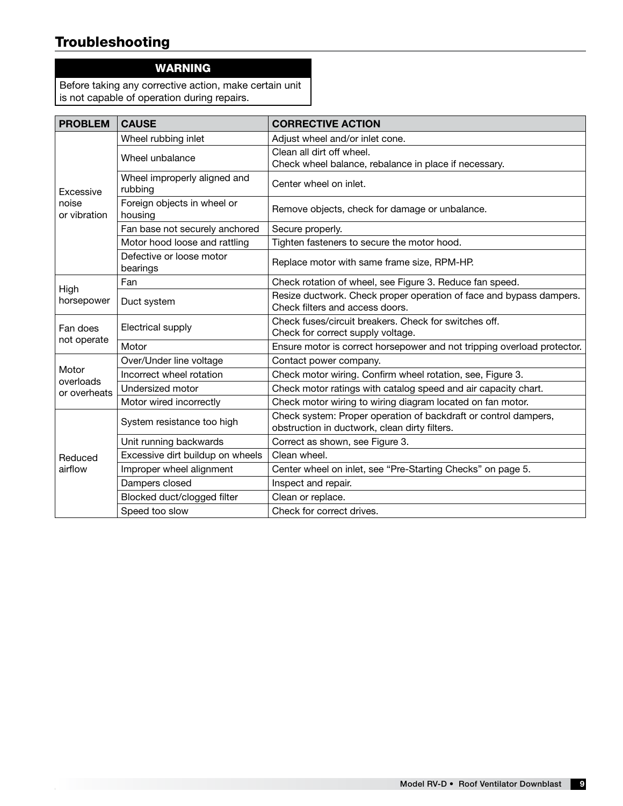# **Troubleshooting**

## WARNING

Before taking any corrective action, make certain unit is not capable of operation during repairs.

| <b>PROBLEM</b>                     | <b>CAUSE</b>                            | <b>CORRECTIVE ACTION</b>                                                                                         |  |  |
|------------------------------------|-----------------------------------------|------------------------------------------------------------------------------------------------------------------|--|--|
| Excessive<br>noise<br>or vibration | Wheel rubbing inlet                     | Adjust wheel and/or inlet cone.                                                                                  |  |  |
|                                    | Wheel unbalance                         | Clean all dirt off wheel.<br>Check wheel balance, rebalance in place if necessary.                               |  |  |
|                                    | Wheel improperly aligned and<br>rubbing | Center wheel on inlet.                                                                                           |  |  |
|                                    | Foreign objects in wheel or<br>housing  | Remove objects, check for damage or unbalance.                                                                   |  |  |
|                                    | Fan base not securely anchored          | Secure properly.                                                                                                 |  |  |
|                                    | Motor hood loose and rattling           | Tighten fasteners to secure the motor hood.                                                                      |  |  |
|                                    | Defective or loose motor<br>bearings    | Replace motor with same frame size, RPM-HP.                                                                      |  |  |
| High<br>horsepower                 | Fan                                     | Check rotation of wheel, see Figure 3. Reduce fan speed.                                                         |  |  |
|                                    | Duct system                             | Resize ductwork. Check proper operation of face and bypass dampers.<br>Check filters and access doors.           |  |  |
| Fan does<br>not operate            | Electrical supply                       | Check fuses/circuit breakers. Check for switches off.<br>Check for correct supply voltage.                       |  |  |
|                                    | Motor                                   | Ensure motor is correct horsepower and not tripping overload protector.                                          |  |  |
| Motor<br>overloads<br>or overheats | Over/Under line voltage                 | Contact power company.                                                                                           |  |  |
|                                    | Incorrect wheel rotation                | Check motor wiring. Confirm wheel rotation, see, Figure 3.                                                       |  |  |
|                                    | Undersized motor                        | Check motor ratings with catalog speed and air capacity chart.                                                   |  |  |
|                                    | Motor wired incorrectly                 | Check motor wiring to wiring diagram located on fan motor.                                                       |  |  |
| Reduced<br>airflow                 | System resistance too high              | Check system: Proper operation of backdraft or control dampers,<br>obstruction in ductwork, clean dirty filters. |  |  |
|                                    | Unit running backwards                  | Correct as shown, see Figure 3.                                                                                  |  |  |
|                                    | Excessive dirt buildup on wheels        | Clean wheel.                                                                                                     |  |  |
|                                    | Improper wheel alignment                | Center wheel on inlet, see "Pre-Starting Checks" on page 5.                                                      |  |  |
|                                    | Dampers closed                          | Inspect and repair.                                                                                              |  |  |
|                                    | Blocked duct/clogged filter             | Clean or replace.                                                                                                |  |  |
|                                    | Speed too slow                          | Check for correct drives.                                                                                        |  |  |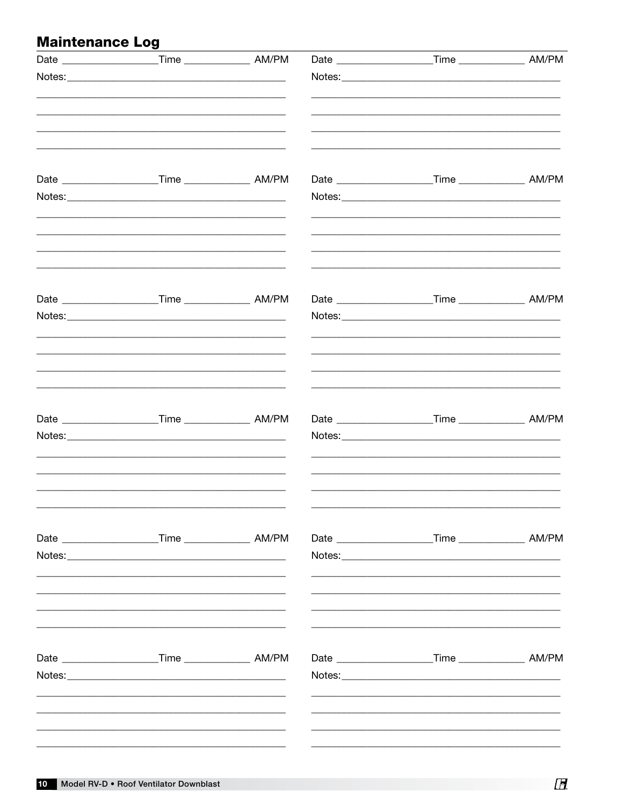# **Maintenance Log**

| Date _______________________Time _________________ AM/PM       |  | Date _______________________Time _____________________ AM/PM |  |
|----------------------------------------------------------------|--|--------------------------------------------------------------|--|
|                                                                |  |                                                              |  |
|                                                                |  |                                                              |  |
|                                                                |  |                                                              |  |
|                                                                |  |                                                              |  |
|                                                                |  |                                                              |  |
|                                                                |  |                                                              |  |
|                                                                |  |                                                              |  |
| Date _______________________Time _______________________ AM/PM |  | Date _____________________Time ________________ AM/PM        |  |
|                                                                |  |                                                              |  |
|                                                                |  | Date _______________________Time __________________ AM/PM    |  |
|                                                                |  |                                                              |  |
|                                                                |  | Date ______________________Time ______________________ AM/PM |  |
|                                                                |  |                                                              |  |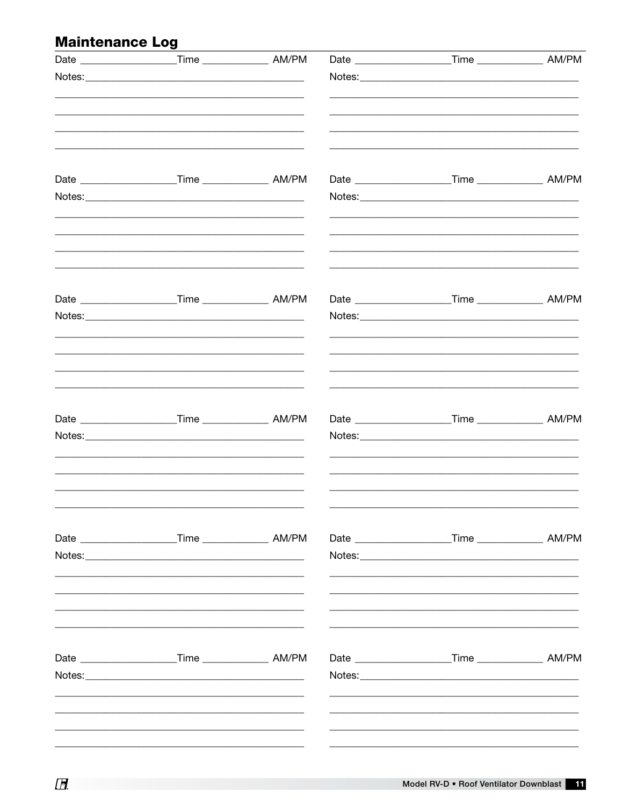# **Maintenance Log**

| Date ________________________Time _______________________ AM/PM |  |                                                             |  |
|-----------------------------------------------------------------|--|-------------------------------------------------------------|--|
|                                                                 |  |                                                             |  |
|                                                                 |  |                                                             |  |
|                                                                 |  |                                                             |  |
|                                                                 |  |                                                             |  |
|                                                                 |  |                                                             |  |
|                                                                 |  | Date ______________________Time _____________________ AM/PM |  |
|                                                                 |  |                                                             |  |
|                                                                 |  | Date _______________________Time __________________ AM/PM   |  |
|                                                                 |  |                                                             |  |
|                                                                 |  |                                                             |  |
| Date ______________________Time _________________ AM/PM         |  | Date _______________________Time __________________ AM/PM   |  |
|                                                                 |  |                                                             |  |
|                                                                 |  |                                                             |  |